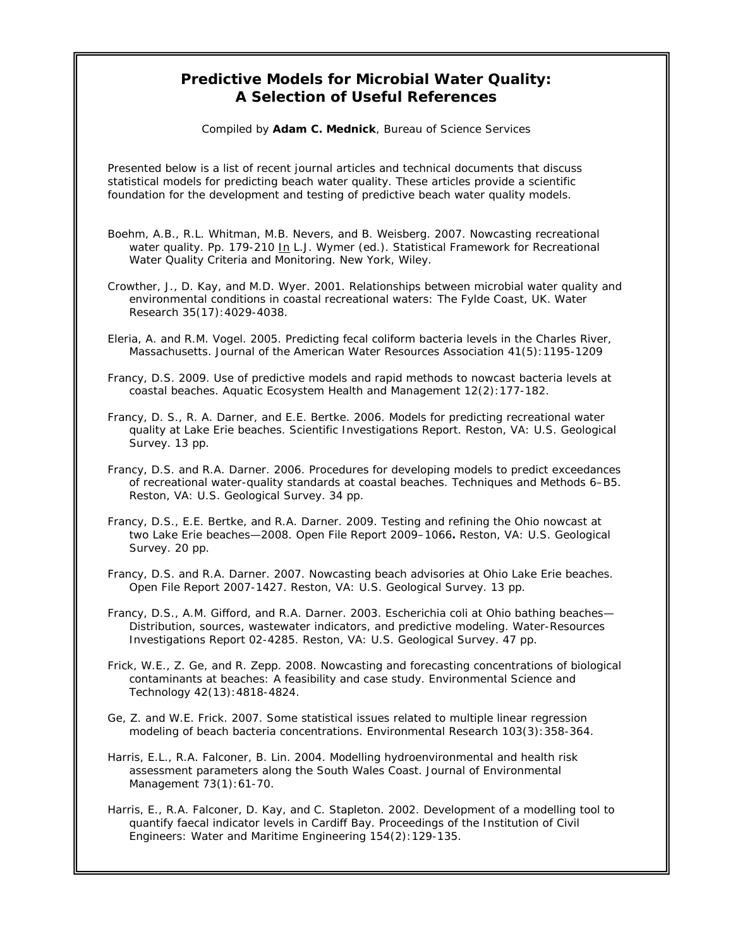## **Predictive Models for Microbial Water Quality: A Selection of Useful References**

Compiled by **Adam C. Mednick**, Bureau of Science Services

Presented below is a list of recent journal articles and technical documents that discuss statistical models for predicting beach water quality. These articles provide a scientific foundation for the development and testing of predictive beach water quality models.

- Boehm, A.B., R.L. Whitman, M.B. Nevers, and B. Weisberg. 2007. Nowcasting recreational water quality. Pp. 179-210 In L.J. Wymer (ed.). *Statistical Framework for Recreational Water Quality Criteria and Monitoring*. New York, Wiley.
- Crowther, J., D. Kay, and M.D. Wyer. 2001. Relationships between microbial water quality and environmental conditions in coastal recreational waters: The Fylde Coast, UK. *Water Research* 35(17):4029-4038.
- Eleria, A. and R.M. Vogel. 2005. Predicting fecal coliform bacteria levels in the Charles River, Massachusetts. *Journal of the American Water Resources Association* 41(5):1195-1209
- Francy, D.S. 2009. Use of predictive models and rapid methods to nowcast bacteria levels at coastal beaches. *Aquatic Ecosystem Health and Management* 12(2):177-182.
- Francy, D. S., R. A. Darner, and E.E. Bertke. 2006. Models for predicting recreational water quality at Lake Erie beaches. Scientific Investigations Report. Reston, VA: U.S. Geological Survey. 13 pp.
- Francy, D.S. and R.A. Darner. 2006. Procedures for developing models to predict exceedances of recreational water-quality standards at coastal beaches. Techniques and Methods 6–B5. Reston, VA: U.S. Geological Survey. 34 pp.
- Francy, D.S., E.E. Bertke, and R.A. Darner. 2009. Testing and refining the Ohio nowcast at two Lake Erie beaches—2008. Open File Report 2009–1066**.** Reston, VA: U.S. Geological Survey. 20 pp.
- Francy, D.S. and R.A. Darner. 2007. Nowcasting beach advisories at Ohio Lake Erie beaches. Open File Report 2007-1427. Reston, VA: U.S. Geological Survey. 13 pp.
- Francy, D.S., A.M. Gifford, and R.A. Darner. 2003. *Escherichia coli* at Ohio bathing beaches— Distribution, sources, wastewater indicators, and predictive modeling. Water-Resources Investigations Report 02-4285. Reston, VA: U.S. Geological Survey. 47 pp.
- Frick, W.E., Z. Ge, and R. Zepp. 2008. Nowcasting and forecasting concentrations of biological contaminants at beaches: A feasibility and case study. *Environmental Science and Technology* 42(13):4818-4824.
- Ge, Z. and W.E. Frick. 2007. Some statistical issues related to multiple linear regression modeling of beach bacteria concentrations. *Environmental Research* 103(3):358-364.
- Harris, E.L., R.A. Falconer, B. Lin. 2004. Modelling hydroenvironmental and health risk assessment parameters along the South Wales Coast. *Journal of Environmental Management* 73(1):61-70.
- Harris, E., R.A. Falconer, D. Kay, and C. Stapleton. 2002. Development of a modelling tool to quantify faecal indicator levels in Cardiff Bay. *Proceedings of the Institution of Civil Engineers: Water and Maritime Engineering* 154(2):129-135.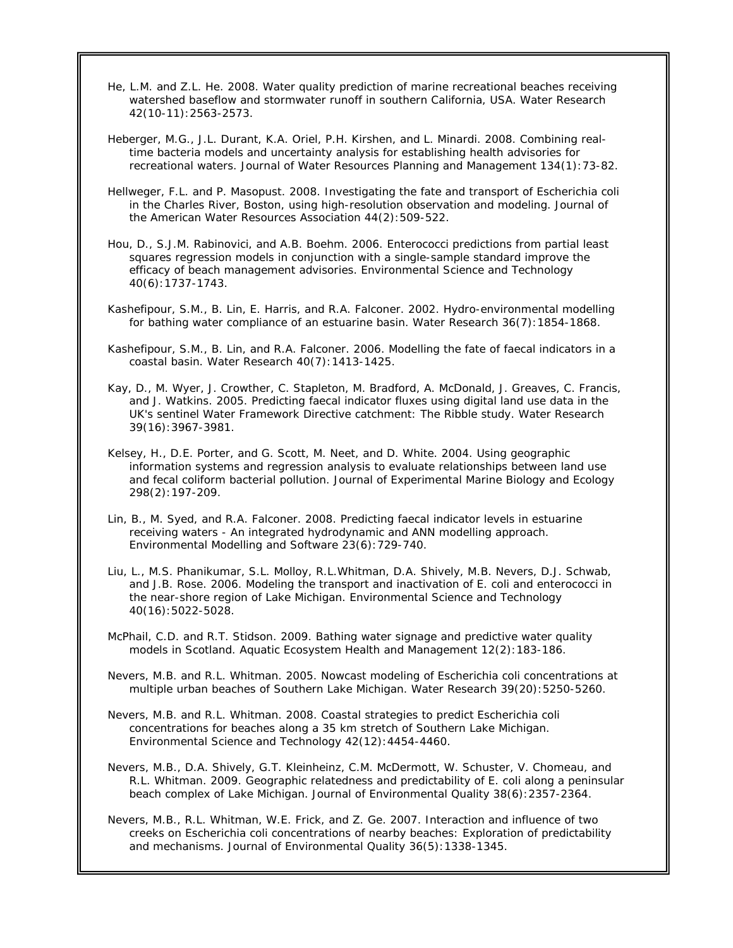- He, L.M. and Z.L. He. 2008. Water quality prediction of marine recreational beaches receiving watershed baseflow and stormwater runoff in southern California, USA. *Water Research* 42(10-11):2563-2573.
- Heberger, M.G., J.L. Durant, K.A. Oriel, P.H. Kirshen, and L. Minardi. 2008. Combining realtime bacteria models and uncertainty analysis for establishing health advisories for recreational waters. *Journal of Water Resources Planning and Management* 134(1):73-82.
- Hellweger, F.L. and P. Masopust. 2008. Investigating the fate and transport of Escherichia coli in the Charles River, Boston, using high-resolution observation and modeling. *Journal of the American Water Resources Association* 44(2):509-522.
- Hou, D., S.J.M. Rabinovici, and A.B. Boehm. 2006. Enterococci predictions from partial least squares regression models in conjunction with a single-sample standard improve the efficacy of beach management advisories. *Environmental Science and Technology* 40(6):1737-1743.
- Kashefipour, S.M., B. Lin, E. Harris, and R.A. Falconer. 2002. Hydro-environmental modelling for bathing water compliance of an estuarine basin. *Water Research* 36(7):1854-1868.
- Kashefipour, S.M., B. Lin, and R.A. Falconer. 2006. Modelling the fate of faecal indicators in a coastal basin. *Water Research* 40(7):1413-1425.
- Kay, D., M. Wyer, J. Crowther, C. Stapleton, M. Bradford, A. McDonald, J. Greaves, C. Francis, and J. Watkins. 2005. Predicting faecal indicator fluxes using digital land use data in the UK's sentinel Water Framework Directive catchment: The Ribble study. *Water Research* 39(16):3967-3981.
- Kelsey, H., D.E. Porter, and G. Scott, M. Neet, and D. White. 2004. Using geographic information systems and regression analysis to evaluate relationships between land use and fecal coliform bacterial pollution. *Journal of Experimental Marine Biology and Ecology* 298(2):197-209.
- Lin, B., M. Syed, and R.A. Falconer. 2008. Predicting faecal indicator levels in estuarine receiving waters - An integrated hydrodynamic and ANN modelling approach. *Environmental Modelling and Software* 23(6):729-740.
- Liu, L., M.S. Phanikumar, S.L. Molloy, R.L.Whitman, D.A. Shively, M.B. Nevers, D.J. Schwab, and J.B. Rose. 2006. Modeling the transport and inactivation of *E. coli* and enterococci in the near-shore region of Lake Michigan. *Environmental Science and Technology* 40(16):5022-5028.
- McPhail, C.D. and R.T. Stidson. 2009. Bathing water signage and predictive water quality models in Scotland. *Aquatic Ecosystem Health and Management* 12(2):183-186.
- Nevers, M.B. and R.L. Whitman. 2005. Nowcast modeling of *Escherichia coli* concentrations at multiple urban beaches of Southern Lake Michigan. *Water Research* 39(20):5250-5260.
- Nevers, M.B. and R.L. Whitman. 2008. Coastal strategies to predict *Escherichia coli* concentrations for beaches along a 35 km stretch of Southern Lake Michigan. *Environmental Science and Technology* 42(12):4454-4460.
- Nevers, M.B., D.A. Shively, G.T. Kleinheinz, C.M. McDermott, W. Schuster, V. Chomeau, and R.L. Whitman. 2009. Geographic relatedness and predictability of *E. coli* along a peninsular beach complex of Lake Michigan. *Journal of Environmental Quality* 38(6):2357-2364.
- Nevers, M.B., R.L. Whitman, W.E. Frick, and Z. Ge. 2007. Interaction and influence of two creeks on Escherichia coli concentrations of nearby beaches: Exploration of predictability and mechanisms. *Journal of Environmental Quality* 36(5):1338-1345.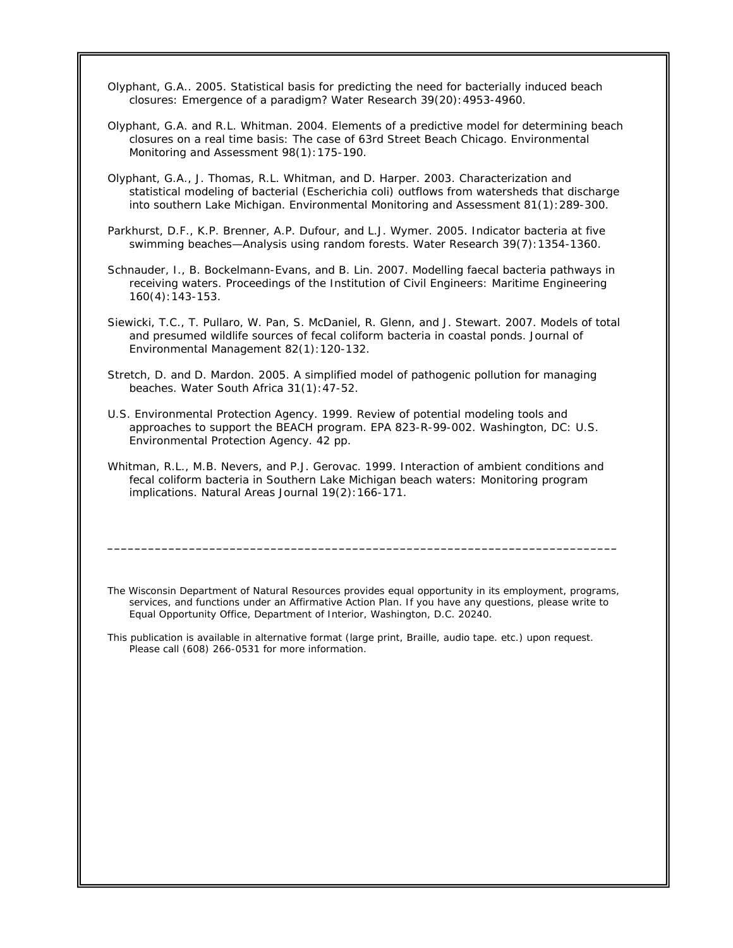Olyphant, G.A.. 2005. Statistical basis for predicting the need for bacterially induced beach closures: Emergence of a paradigm? *Water Research* 39(20):4953-4960.

- Olyphant, G.A. and R.L. Whitman. 2004. Elements of a predictive model for determining beach closures on a real time basis: The case of 63rd Street Beach Chicago. *Environmental Monitoring and Assessment* 98(1):175-190.
- Olyphant, G.A., J. Thomas, R.L. Whitman, and D. Harper. 2003. Characterization and statistical modeling of bacterial (*Escherichia coli*) outflows from watersheds that discharge into southern Lake Michigan. *Environmental Monitoring and Assessment* 81(1):289-300.
- Parkhurst, D.F., K.P. Brenner, A.P. Dufour, and L.J. Wymer. 2005. Indicator bacteria at five swimming beaches—Analysis using random forests. *Water Research* 39(7):1354-1360.
- Schnauder, I., B. Bockelmann-Evans, and B. Lin. 2007. Modelling faecal bacteria pathways in receiving waters. *Proceedings of the Institution of Civil Engineers: Maritime Engineering* 160(4):143-153.
- Siewicki, T.C., T. Pullaro, W. Pan, S. McDaniel, R. Glenn, and J. Stewart. 2007. Models of total and presumed wildlife sources of fecal coliform bacteria in coastal ponds. *Journal of Environmental Management* 82(1):120-132.
- Stretch, D. and D. Mardon. 2005. A simplified model of pathogenic pollution for managing beaches. *Water South Africa* 31(1):47-52.
- U.S. Environmental Protection Agency. 1999. Review of potential modeling tools and approaches to support the BEACH program. EPA 823-R-99-002. Washington, DC: U.S. Environmental Protection Agency. 42 pp.
- Whitman, R.L., M.B. Nevers, and P.J. Gerovac. 1999. Interaction of ambient conditions and fecal coliform bacteria in Southern Lake Michigan beach waters: Monitoring program implications. *Natural Areas Journal* 19(2):166-171.

*The Wisconsin Department of Natural Resources provides equal opportunity in its employment, programs, services, and functions under an Affirmative Action Plan. If you have any questions, please write to Equal Opportunity Office, Department of Interior, Washington, D.C. 20240.* 

**\_\_\_\_\_\_\_\_\_\_\_\_\_\_\_\_\_\_\_\_\_\_\_\_\_\_\_\_\_\_\_\_\_\_\_\_\_\_\_\_\_\_\_\_\_\_\_\_\_\_\_\_\_\_\_\_\_\_\_\_\_\_\_\_\_\_\_\_\_\_\_\_\_\_\_** 

*This publication is available in alternative format* (large print, Braille, audio tape. etc.) *upon request. Please call (608) 266-0531 for more information.*